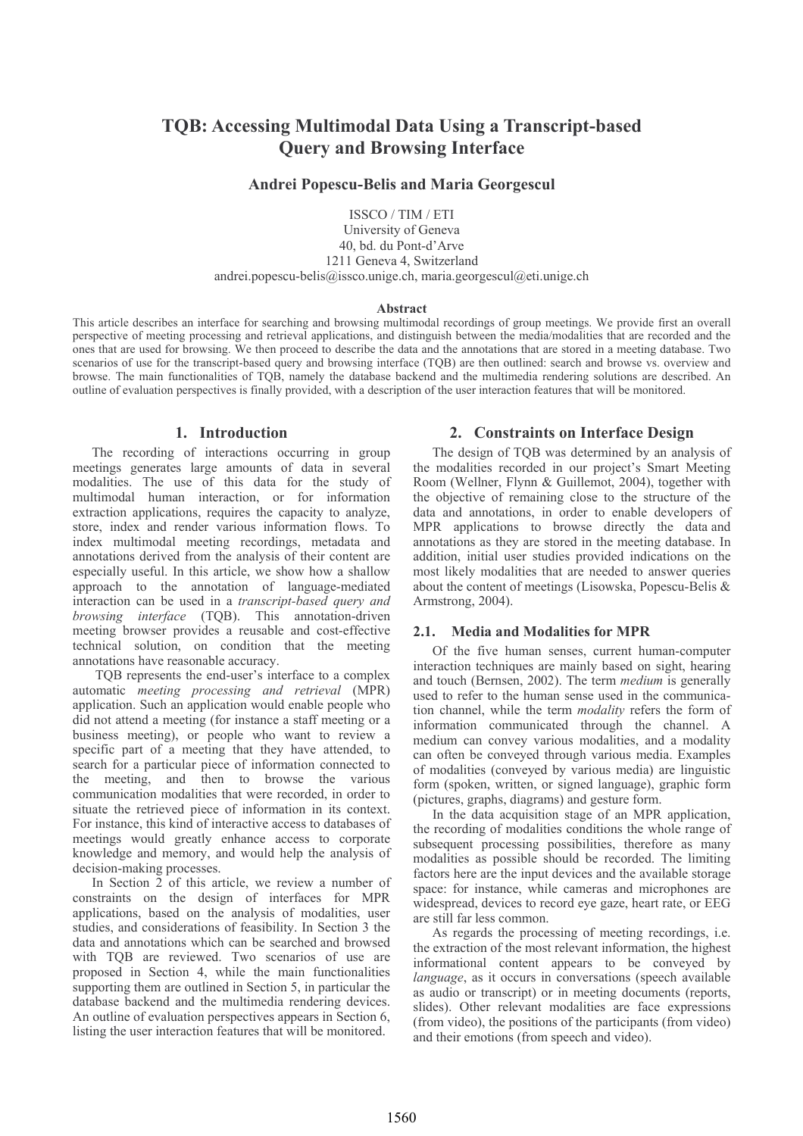# **TOB: Accessing Multimodal Data Using a Transcript-based Ouery and Browsing Interface**

# **Andrei Popescu-Belis and Maria Georgescul**

ISSCO / TIM / ETI University of Geneva 40, bd. du Pont-d'Arve 1211 Geneva 4, Switzerland andrei.popescu-belis@issco.unige.ch, maria.georgescul@eti.unige.ch

### Abstract

This article describes an interface for searching and browsing multimodal recordings of group meetings. We provide first an overall perspective of meeting processing and retrieval applications, and distinguish between the media/modalities that are recorded and the ones that are used for browsing. We then proceed to describe the data and the annotations that are stored in a meeting database. Two scenarios of use for the transcript-based query and browsing interface (TOB) are then outlined; search and browse ys. overview and browse. The main functionalities of TQB, namely the database backend and the multimedia rendering solutions are described. An outline of evaluation perspectives is finally provided, with a description of the user interaction features that will be monitored.

### 1. Introduction

The recording of interactions occurring in group meetings generates large amounts of data in several modalities. The use of this data for the study of multimodal human interaction, or for information extraction applications, requires the capacity to analyze, store, index and render various information flows. To index multimodal meeting recordings, metadata and annotations derived from the analysis of their content are especially useful. In this article, we show how a shallow approach to the annotation of language-mediated interaction can be used in a *transcript-based query and browsing interface* (TQB). This annotation-driven meeting browser provides a reusable and cost-effective technical solution, on condition that the meeting annotations have reasonable accuracy.

TOB represents the end-user's interface to a complex automatic meeting processing and retrieval (MPR) application. Such an application would enable people who did not attend a meeting (for instance a staff meeting or a business meeting), or people who want to review a specific part of a meeting that they have attended, to search for a particular piece of information connected to the meeting, and then to browse the various communication modalities that were recorded, in order to situate the retrieved piece of information in its context. For instance, this kind of interactive access to databases of meetings would greatly enhance access to corporate knowledge and memory, and would help the analysis of decision-making processes.

In Section 2 of this article, we review a number of constraints on the design of interfaces for MPR applications, based on the analysis of modalities, user studies, and considerations of feasibility. In Section 3 the data and annotations which can be searched and browsed with TOB are reviewed. Two scenarios of use are proposed in Section 4, while the main functionalities supporting them are outlined in Section 5, in particular the database backend and the multimedia rendering devices. An outline of evaluation perspectives appears in Section 6, listing the user interaction features that will be monitored.

### 2. Constraints on Interface Design

The design of TOB was determined by an analysis of the modalities recorded in our project's Smart Meeting Room (Wellner, Flynn & Guillemot, 2004), together with the objective of remaining close to the structure of the data and annotations, in order to enable developers of MPR applications to browse directly the data and annotations as they are stored in the meeting database. In addition, initial user studies provided indications on the most likely modalities that are needed to answer queries about the content of meetings (Lisowska, Popescu-Belis & Armstrong, 2004).

#### $2.1.$ **Media and Modalities for MPR**

Of the five human senses, current human-computer interaction techniques are mainly based on sight, hearing and touch (Bernsen, 2002). The term *medium* is generally used to refer to the human sense used in the communication channel, while the term *modality* refers the form of information communicated through the channel. A medium can convey various modalities, and a modality can often be conveyed through various media. Examples of modalities (conveyed by various media) are linguistic form (spoken, written, or signed language), graphic form (pictures, graphs, diagrams) and gesture form.

In the data acquisition stage of an MPR application. the recording of modalities conditions the whole range of subsequent processing possibilities, therefore as many modalities as possible should be recorded. The limiting factors here are the input devices and the available storage space: for instance, while cameras and microphones are widespread, devices to record eye gaze, heart rate, or EEG are still far less common.

As regards the processing of meeting recordings, *i.e.* the extraction of the most relevant information, the highest informational content appears to be conveyed by *language*, as it occurs in conversations (speech available as audio or transcript) or in meeting documents (reports, slides). Other relevant modalities are face expressions (from video), the positions of the participants (from video) and their emotions (from speech and video).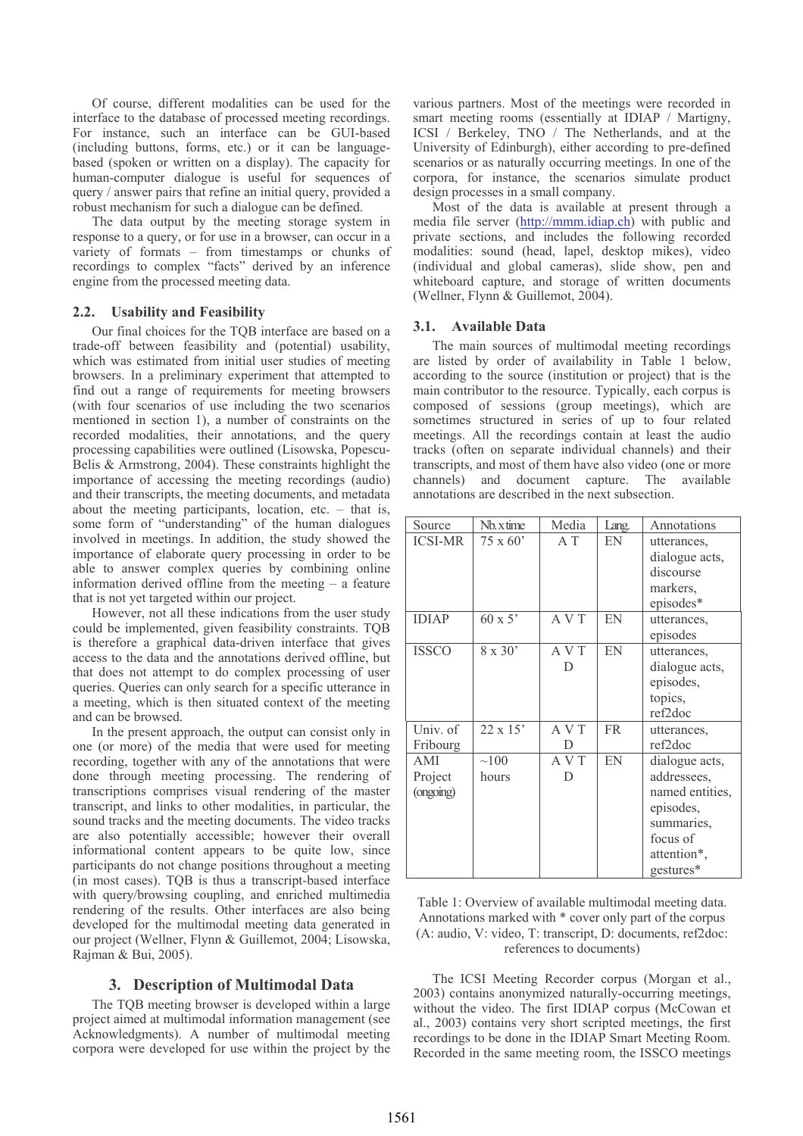Of course, different modalities can be used for the interface to the database of processed meeting recordings. For instance, such an interface can be GUI-based (including buttons, forms, etc.) or it can be languagebased (spoken or written on a display). The capacity for human-computer dialogue is useful for sequences of query / answer pairs that refine an initial query, provided a robust mechanism for such a dialogue can be defined.

The data output by the meeting storage system in response to a query, or for use in a browser, can occur in a variety of formats – from timestamps or chunks of recordings to complex "facts" derived by an inference engine from the processed meeting data.

#### $2.2.$ **Usability and Feasibility**

Our final choices for the TQB interface are based on a trade-off between feasibility and (potential) usability, which was estimated from initial user studies of meeting browsers. In a preliminary experiment that attempted to find out a range of requirements for meeting browsers (with four scenarios of use including the two scenarios mentioned in section 1), a number of constraints on the recorded modalities, their annotations, and the query processing capabilities were outlined (Lisowska, Popescu-Belis & Armstrong, 2004). These constraints highlight the importance of accessing the meeting recordings (audio) and their transcripts, the meeting documents, and metadata about the meeting participants, location, etc.  $-$  that is, some form of "understanding" of the human dialogues involved in meetings. In addition, the study showed the importance of elaborate query processing in order to be able to answer complex queries by combining online information derived offline from the meeting  $-$  a feature that is not yet targeted within our project.

However, not all these indications from the user study could be implemented, given feasibility constraints. TQB is therefore a graphical data-driven interface that gives access to the data and the annotations derived offline, but that does not attempt to do complex processing of user queries. Oueries can only search for a specific utterance in a meeting, which is then situated context of the meeting and can be browsed.

In the present approach, the output can consist only in one (or more) of the media that were used for meeting recording, together with any of the annotations that were done through meeting processing. The rendering of transcriptions comprises visual rendering of the master transcript, and links to other modalities, in particular, the sound tracks and the meeting documents. The video tracks are also potentially accessible; however their overall informational content appears to be quite low, since participants do not change positions throughout a meeting (in most cases). TQB is thus a transcript-based interface with query/browsing coupling, and enriched multimedia rendering of the results. Other interfaces are also being developed for the multimodal meeting data generated in our project (Wellner, Flynn & Guillemot, 2004; Lisowska, Rajman & Bui, 2005).

# 3. Description of Multimodal Data

The TOB meeting browser is developed within a large project aimed at multimodal information management (see Acknowledgments). A number of multimodal meeting corpora were developed for use within the project by the various partners. Most of the meetings were recorded in smart meeting rooms (essentially at IDIAP / Martigny, ICSI / Berkeley, TNO / The Netherlands, and at the University of Edinburgh), either according to pre-defined scenarios or as naturally occurring meetings. In one of the corpora, for instance, the scenarios simulate product design processes in a small company.

Most of the data is available at present through a media file server (http://mmm.idiap.ch) with public and private sections, and includes the following recorded modalities: sound (head, lapel, desktop mikes), video (individual and global cameras), slide show, pen and whiteboard capture, and storage of written documents (Wellner, Flynn & Guillemot, 2004).

### 3.1. Available Data

The main sources of multimodal meeting recordings are listed by order of availability in Table 1 below, according to the source (institution or project) that is the main contributor to the resource. Typically, each corpus is composed of sessions (group meetings), which are sometimes structured in series of up to four related meetings. All the recordings contain at least the audio tracks (often on separate individual channels) and their transcripts, and most of them have also video (one or more channels) and document capture. The available annotations are described in the next subsection.

| Source         | Nb. x time      | Media | Lang.     | Annotations     |
|----------------|-----------------|-------|-----------|-----------------|
| <b>ICSI-MR</b> | $75 \times 60'$ | A T   | EN        | utterances,     |
|                |                 |       |           | dialogue acts,  |
|                |                 |       |           | discourse       |
|                |                 |       |           | markers,        |
|                |                 |       |           | episodes*       |
| <b>IDIAP</b>   | $60 \times 5$   | A V T | EN        | utterances.     |
|                |                 |       |           | episodes        |
| <b>ISSCO</b>   | $8 \times 30'$  | A V T | EN        | utterances,     |
|                |                 | D     |           | dialogue acts,  |
|                |                 |       |           | episodes,       |
|                |                 |       |           | topics,         |
|                |                 |       |           | ref2doc         |
| Univ. of       | $22 \times 15$  | A V T | <b>FR</b> | utterances,     |
| Fribourg       |                 | D     |           | ref2doc         |
| AMI            | $\sim100$       | A V T | EN        | dialogue acts,  |
| Project        | hours           | D     |           | addressees,     |
| (ongoing)      |                 |       |           | named entities, |
|                |                 |       |           | episodes,       |
|                |                 |       |           | summaries,      |
|                |                 |       |           | focus of        |
|                |                 |       |           | attention*,     |
|                |                 |       |           | gestures*       |

Table 1: Overview of available multimodal meeting data. Annotations marked with \* cover only part of the corpus (A: audio, V: video, T: transcript, D: documents, ref2doc: references to documents)

The ICSI Meeting Recorder corpus (Morgan et al., 2003) contains anonymized naturally-occurring meetings, without the video. The first IDIAP corpus (McCowan et al., 2003) contains very short scripted meetings, the first recordings to be done in the IDIAP Smart Meeting Room. Recorded in the same meeting room, the ISSCO meetings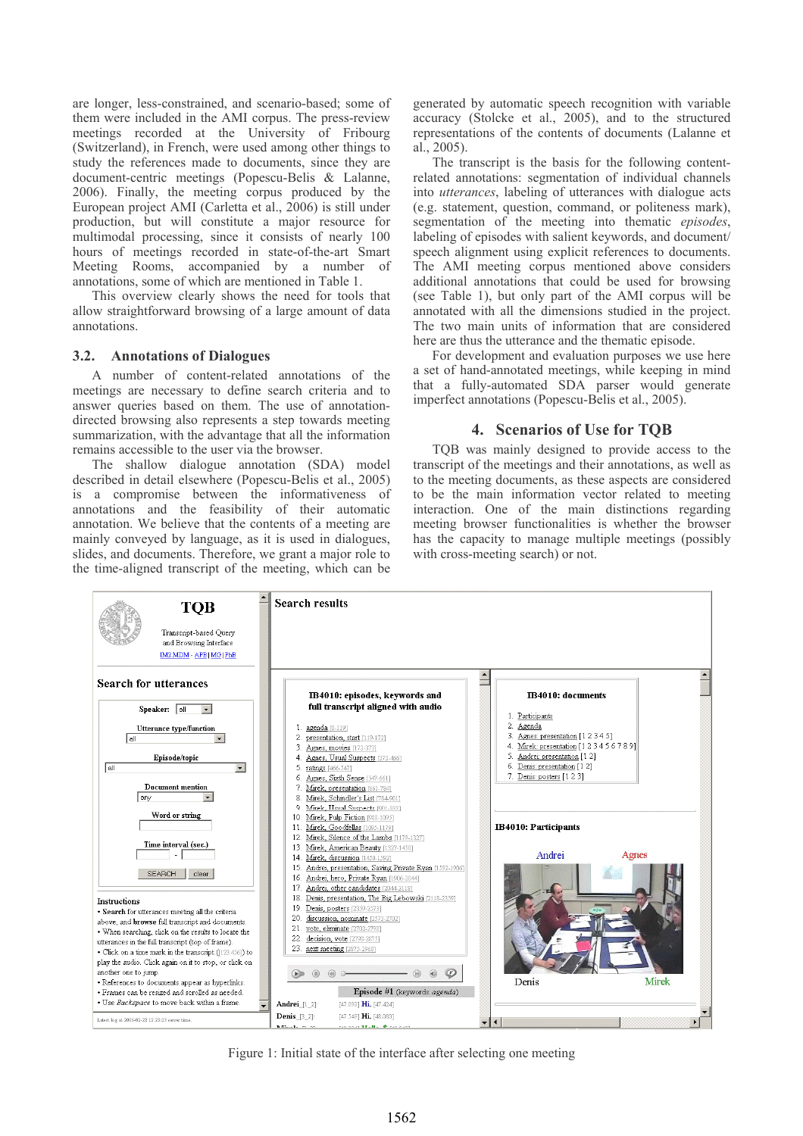are longer, less-constrained, and scenario-based; some of them were included in the AMI corpus. The press-review meetings recorded at the University of Fribourg (Switzerland), in French, were used among other things to study the references made to documents, since they are document-centric meetings (Popescu-Belis & Lalanne, 2006). Finally, the meeting corpus produced by the European project AMI (Carletta et al., 2006) is still under production, but will constitute a major resource for multimodal processing, since it consists of nearly 100 hours of meetings recorded in state-of-the-art Smart Meeting Rooms, accompanied by a number of annotations, some of which are mentioned in Table 1.

This overview clearly shows the need for tools that allow straightforward browsing of a large amount of data annotations.

### 3.2. Annotations of Dialogues

A number of content-related annotations of the meetings are necessary to define search criteria and to answer queries based on them. The use of annotationdirected browsing also represents a step towards meeting summarization, with the advantage that all the information remains accessible to the user via the browser.

The shallow dialogue annotation (SDA) model described in detail elsewhere (Popescu-Belis et al., 2005) is a compromise between the informativeness of annotations and the feasibility of their automatic annotation. We believe that the contents of a meeting are mainly conveyed by language, as it is used in dialogues, slides, and documents. Therefore, we grant a major role to the time-aligned transcript of the meeting, which can be generated by automatic speech recognition with variable accuracy (Stolcke et al., 2005), and to the structured representations of the contents of documents (Lalanne et al., 2005).

The transcript is the basis for the following contentrelated annotations: segmentation of individual channels into *utterances*, labeling of utterances with dialogue acts (e.g. statement, question, command, or politeness mark), segmentation of the meeting into thematic *episodes*, labeling of episodes with salient keywords, and document/ speech alignment using explicit references to documents. The AMI meeting corpus mentioned above considers additional annotations that could be used for browsing (see Table 1), but only part of the AMI corpus will be annotated with all the dimensions studied in the project. The two main units of information that are considered here are thus the utterance and the thematic episode.

For development and evaluation purposes we use here a set of hand-annotated meetings, while keeping in mind that a fully-automated SDA parser would generate imperfect annotations (Popescu-Belis et al., 2005).

### 4. Scenarios of Use for TOB

TQB was mainly designed to provide access to the transcript of the meetings and their annotations, as well as to the meeting documents, as these aspects are considered to be the main information vector related to meeting interaction. One of the main distinctions regarding meeting browser functionalities is whether the browser has the capacity to manage multiple meetings (possibly with cross-meeting search) or not.



Figure 1: Initial state of the interface after selecting one meeting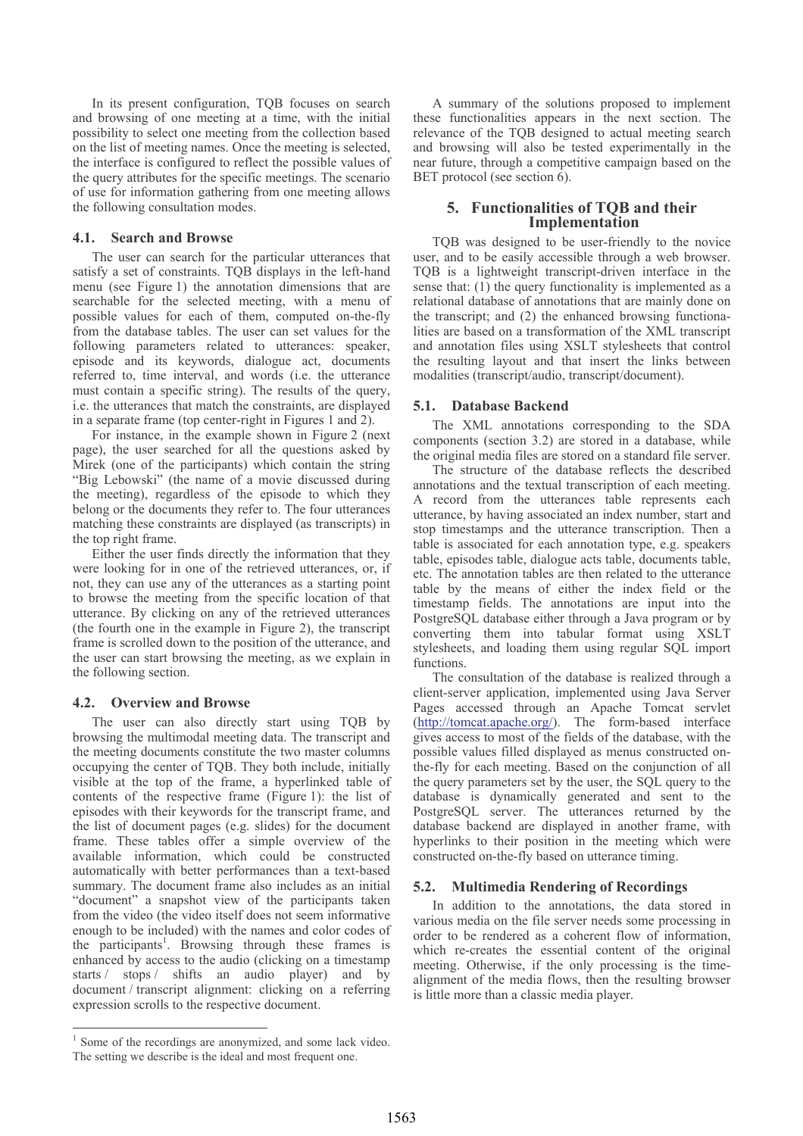In its present configuration, TQB focuses on search and browsing of one meeting at a time, with the initial possibility to select one meeting from the collection based on the list of meeting names. Once the meeting is selected. the interface is configured to reflect the possible values of the query attributes for the specific meetings. The scenario of use for information gathering from one meeting allows the following consultation modes.

## 4.1. Search and Browse

The user can search for the particular utterances that satisfy a set of constraints. TQB displays in the left-hand menu (see Figure 1) the annotation dimensions that are searchable for the selected meeting, with a menu of possible values for each of them, computed on-the-fly from the database tables. The user can set values for the following parameters related to utterances: speaker, episode and its keywords, dialogue act, documents referred to, time interval, and words (i.e. the utterance must contain a specific string). The results of the query, i.e. the utterances that match the constraints, are displayed in a separate frame (top center-right in Figures 1 and 2).

For instance, in the example shown in Figure 2 (next page), the user searched for all the questions asked by Mirek (one of the participants) which contain the string "Big Lebowski" (the name of a movie discussed during the meeting), regardless of the episode to which they belong or the documents they refer to. The four utterances matching these constraints are displayed (as transcripts) in the top right frame.

Either the user finds directly the information that they were looking for in one of the retrieved utterances, or, if not, they can use any of the utterances as a starting point to browse the meeting from the specific location of that utterance. By clicking on any of the retrieved utterances (the fourth one in the example in Figure 2), the transcript frame is scrolled down to the position of the utterance, and the user can start browsing the meeting, as we explain in the following section.

#### $4.2.$ **Overview and Browse**

The user can also directly start using TQB by browsing the multimodal meeting data. The transcript and the meeting documents constitute the two master columns occupying the center of TQB. They both include, initially visible at the top of the frame, a hyperlinked table of contents of the respective frame (Figure 1): the list of episodes with their keywords for the transcript frame, and the list of document pages (e.g. slides) for the document frame. These tables offer a simple overview of the available information, which could be constructed automatically with better performances than a text-based summary. The document frame also includes as an initial "document" a snapshot view of the participants taken from the video (the video itself does not seem informative) enough to be included) with the names and color codes of the participants<sup>1</sup>. Browsing through these frames is enhanced by access to the audio (clicking on a timestamp starts / stops / shifts an audio player) and by document / transcript alignment: clicking on a referring expression scrolls to the respective document.

A summary of the solutions proposed to implement these functionalities appears in the next section. The relevance of the TQB designed to actual meeting search and browsing will also be tested experimentally in the near future, through a competitive campaign based on the BET protocol (see section 6).

# 5. Functionalities of TOB and their Implementation

TQB was designed to be user-friendly to the novice user, and to be easily accessible through a web browser. TQB is a lightweight transcript-driven interface in the sense that: (1) the query functionality is implemented as a relational database of annotations that are mainly done on the transcript; and (2) the enhanced browsing functionalities are based on a transformation of the XML transcript and annotation files using XSLT stylesheets that control the resulting layout and that insert the links between modalities (transcript/audio, transcript/document).

## 5.1. Database Backend

The XML annotations corresponding to the SDA components (section 3.2) are stored in a database, while the original media files are stored on a standard file server.

The structure of the database reflects the described annotations and the textual transcription of each meeting. A record from the utterances table represents each utterance, by having associated an index number, start and stop timestamps and the utterance transcription. Then a table is associated for each annotation type, e.g. speakers table, episodes table, dialogue acts table, documents table, etc. The annotation tables are then related to the utterance table by the means of either the index field or the timestamp fields. The annotations are input into the PostgreSQL database either through a Java program or by converting them into tabular format using XSLT stylesheets, and loading them using regular SQL import functions.

The consultation of the database is realized through a client-server application, implemented using Java Server Pages accessed through an Apache Tomcat servlet (http://tomcat.apache.org/). The form-based interface gives access to most of the fields of the database, with the possible values filled displayed as menus constructed onthe-fly for each meeting. Based on the conjunction of all the query parameters set by the user, the SQL query to the database is dynamically generated and sent to the PostgreSQL server. The utterances returned by the database backend are displayed in another frame, with hyperlinks to their position in the meeting which were constructed on-the-fly based on utterance timing.

# 5.2. Multimedia Rendering of Recordings

In addition to the annotations, the data stored in various media on the file server needs some processing in order to be rendered as a coherent flow of information, which re-creates the essential content of the original meeting. Otherwise, if the only processing is the timealignment of the media flows, then the resulting browser is little more than a classic media player.

 $1$  Some of the recordings are anonymized, and some lack video. The setting we describe is the ideal and most frequent one.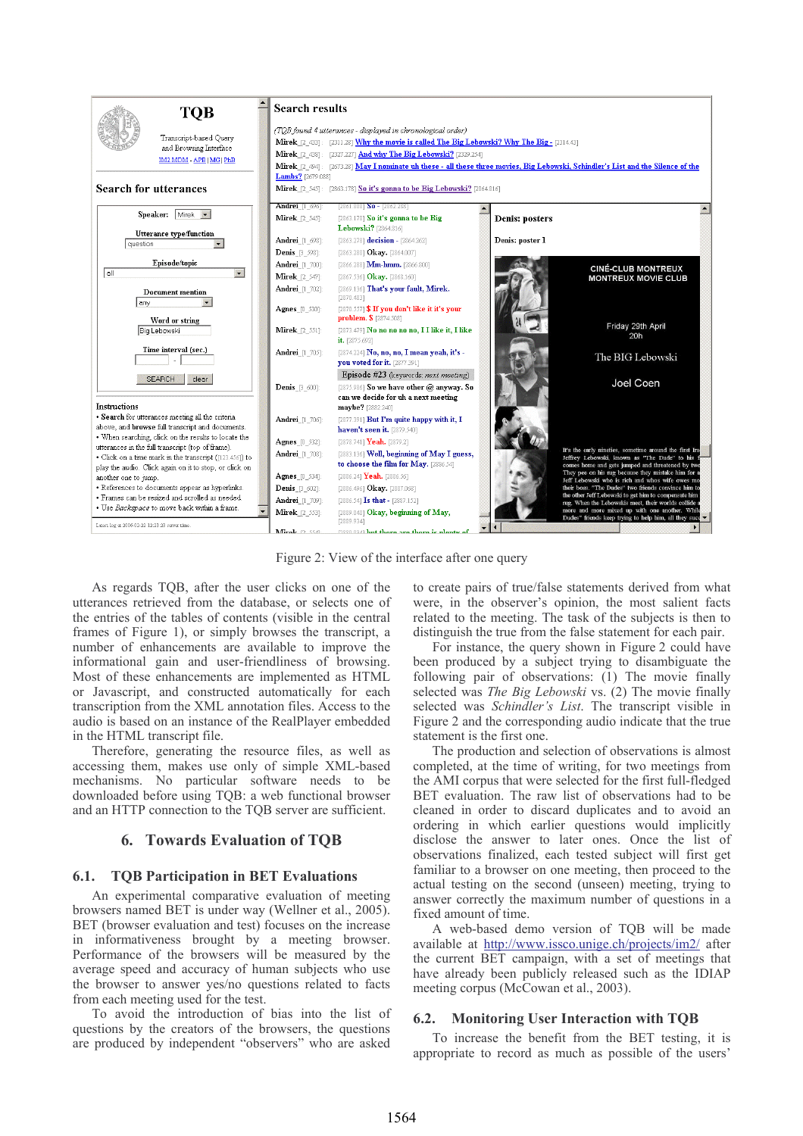

Figure 2: View of the interface after one query

As regards TOB, after the user clicks on one of the utterances retrieved from the database, or selects one of the entries of the tables of contents (visible in the central frames of Figure 1), or simply browses the transcript, a number of enhancements are available to improve the informational gain and user-friendliness of browsing. Most of these enhancements are implemented as HTML or Javascript, and constructed automatically for each transcription from the XML annotation files. Access to the audio is based on an instance of the RealPlayer embedded in the HTML transcript file.

Therefore, generating the resource files, as well as accessing them, makes use only of simple XML-based mechanisms. No particular software needs to be downloaded before using TQB: a web functional browser and an HTTP connection to the TOB server are sufficient.

# **6. Towards Evaluation of TOB**

#### **TQB Participation in BET Evaluations** 6.1.

An experimental comparative evaluation of meeting browsers named BET is under way (Wellner et al., 2005). BET (browser evaluation and test) focuses on the increase in informativeness brought by a meeting browser. Performance of the browsers will be measured by the average speed and accuracy of human subjects who use the browser to answer yes/no questions related to facts from each meeting used for the test.

To avoid the introduction of bias into the list of questions by the creators of the browsers, the questions are produced by independent "observers" who are asked to create pairs of true/false statements derived from what were, in the observer's opinion, the most salient facts related to the meeting. The task of the subjects is then to distinguish the true from the false statement for each pair.

For instance, the query shown in Figure 2 could have been produced by a subject trying to disambiguate the following pair of observations: (1) The movie finally selected was *The Big Lebowski* vs. (2) The movie finally selected was *Schindler's List*. The transcript visible in Figure 2 and the corresponding audio indicate that the true statement is the first one.

The production and selection of observations is almost completed, at the time of writing, for two meetings from the AMI corpus that were selected for the first full-fledged BET evaluation. The raw list of observations had to be cleaned in order to discard duplicates and to avoid an ordering in which earlier questions would implicitly disclose the answer to later ones. Once the list of observations finalized, each tested subject will first get familiar to a browser on one meeting, then proceed to the actual testing on the second (unseen) meeting, trying to answer correctly the maximum number of questions in a fixed amount of time.

A web-based demo version of TQB will be made available at http://www.issco.unige.ch/projects/im2/ after the current BET campaign, with a set of meetings that have already been publicly released such as the IDIAP meeting corpus (McCowan et al., 2003).

# 6.2. Monitoring User Interaction with TQB

To increase the benefit from the BET testing, it is appropriate to record as much as possible of the users'